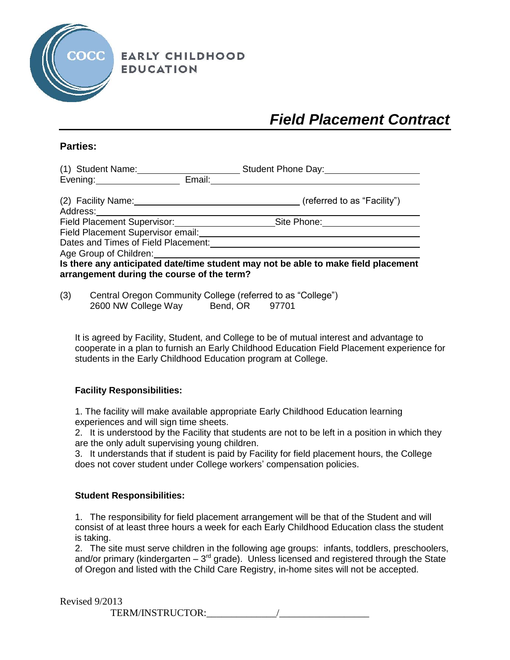

**EARLY CHILDHOOD EDUCATION** 

# *Field Placement Contract*

## **Parties:**

| (1) Student Name:                          |        | Student Phone Day:                                                                 |
|--------------------------------------------|--------|------------------------------------------------------------------------------------|
| Evening:                                   | Email: |                                                                                    |
| (2) Facility Name:<br>Address:             |        | (referred to as "Facility")                                                        |
| <b>Field Placement Supervisor:</b>         |        | Site Phone:                                                                        |
| Field Placement Supervisor email:          |        |                                                                                    |
| Dates and Times of Field Placement:        |        |                                                                                    |
| Age Group of Children:                     |        |                                                                                    |
| arrangement during the course of the term? |        | Is there any anticipated date/time student may not be able to make field placement |

(3) Central Oregon Community College (referred to as "College") 2600 NW College Way Bend, OR 97701

It is agreed by Facility, Student, and College to be of mutual interest and advantage to cooperate in a plan to furnish an Early Childhood Education Field Placement experience for students in the Early Childhood Education program at College.

### **Facility Responsibilities:**

1. The facility will make available appropriate Early Childhood Education learning experiences and will sign time sheets.

2. It is understood by the Facility that students are not to be left in a position in which they are the only adult supervising young children.

3. It understands that if student is paid by Facility for field placement hours, the College does not cover student under College workers' compensation policies.

### **Student Responsibilities:**

1. The responsibility for field placement arrangement will be that of the Student and will consist of at least three hours a week for each Early Childhood Education class the student is taking.

2. The site must serve children in the following age groups: infants, toddlers, preschoolers, and/or primary (kindergarten  $-3<sup>rd</sup>$  grade). Unless licensed and registered through the State of Oregon and listed with the Child Care Registry, in-home sites will not be accepted.

Revised 9/2013

TERM/INSTRUCTOR:\_\_\_\_\_\_\_\_\_\_\_\_\_\_/\_\_\_\_\_\_\_\_\_\_\_\_\_\_\_\_\_\_